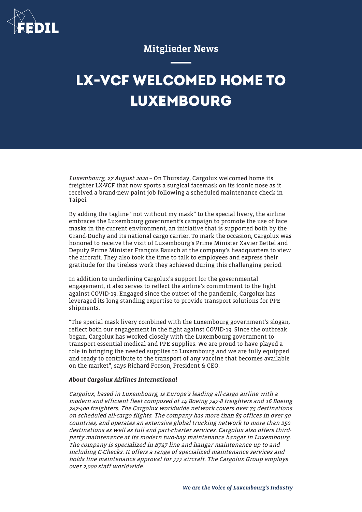

## Mitglieder News

## **LX-VCF WELCOMED HOME TO LUXEMBOURG**

Luxembourg, 27 August 2020 – On Thursday, Cargolux welcomed home its freighter LX-VCF that now sports a surgical facemask on its iconic nose as it received a brand-new paint job following a scheduled maintenance check in Taipei.

By adding the tagline "not without my mask" to the special livery, the airline embraces the Luxembourg government's campaign to promote the use of face masks in the current environment, an initiative that is supported both by the Grand-Duchy and its national cargo carrier. To mark the occasion, Cargolux was honored to receive the visit of Luxembourg's Prime Minister Xavier Bettel and Deputy Prime Minister François Bausch at the company's headquarters to view the aircraft. They also took the time to talk to employees and express their gratitude for the tireless work they achieved during this challenging period.

In addition to underlining Cargolux's support for the governmental engagement, it also serves to reflect the airline's commitment to the fight against COVID-19. Engaged since the outset of the pandemic, Cargolux has leveraged its long-standing expertise to provide transport solutions for PPE shipments.

"The special mask livery combined with the Luxembourg government's slogan, reflect both our engagement in the fight against COVID-19. Since the outbreak began, Cargolux has worked closely with the Luxembourg government to transport essential medical and PPE supplies. We are proud to have played a role in bringing the needed supplies to Luxembourg and we are fully equipped and ready to contribute to the transport of any vaccine that becomes available on the market", says Richard Forson, President & CEO.

## About Cargolux Airlines International

Cargolux, based in Luxembourg, is Europe's leading all-cargo airline with a modern and efficient fleet composed of 14 Boeing 747-8 freighters and 16 Boeing 747-400 freighters. The Cargolux worldwide network covers over 75 destinations on scheduled all-cargo flights. The company has more than 85 offices in over 50 countries, and operates an extensive global trucking network to more than 250 destinations as well as full and part-charter services. Cargolux also offers thirdparty maintenance at its modern two-bay maintenance hangar in Luxembourg. The company is specialized in B747 line and hangar maintenance up to and including C-Checks. It offers a range of specialized maintenance services and holds line maintenance approval for 777 aircraft. The Cargolux Group employs over 2,000 staff worldwide.